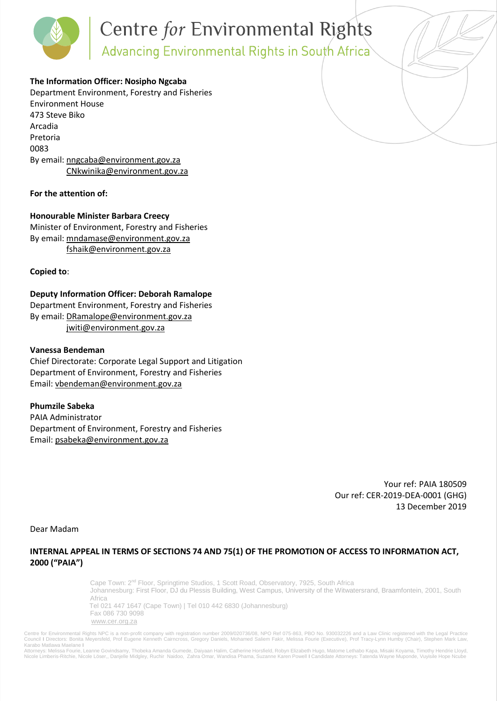# Centre for Environmental Rights

Advancing Environmental Rights in South Africa

## **The Information Officer: Nosipho Ngcaba**

Department Environment, Forestry and Fisheries Environment House 473 Steve Biko Arcadia Pretoria 0083 By email: [nngcaba@environment.gov.za](mailto:nngcaba@environment.gov.za) [CNkwinika@environment.gov.za](mailto:CNkwinika@environment.gov.za)

#### **For the attention of:**

**Honourable Minister Barbara Creecy** Minister of Environment, Forestry and Fisheries By email: [mndamase@environment.gov.za](mailto:mndamase@environment.gov.za) [fshaik@environment.gov.za](mailto:fshaik@environment.gov.za)

**Copied to**:

## **Deputy Information Officer: Deborah Ramalope**

Department Environment, Forestry and Fisheries By email: [DRamalope@environment.gov.za](mailto:DRamalope@environment.gov.za) [jwiti@environment.gov.za](mailto:jwiti@environment.gov.za)

### **Vanessa Bendeman**

Chief Directorate: Corporate Legal Support and Litigation Department of Environment, Forestry and Fisheries Email: [vbendeman@environment.gov.za](mailto:vbendeman@environment.gov.za)

### **Phumzile Sabeka**

PAIA Administrator Department of Environment, Forestry and Fisheries Email: [psabeka@environment.gov.za](mailto:psabeka@environment.gov.za)

> Your ref: PAIA 180509 Our ref: CER-2019-DEA-0001 (GHG) 13 December 2019

Dear Madam

## **INTERNAL APPEAL IN TERMS OF SECTIONS 74 AND 75(1) OF THE PROMOTION OF ACCESS TO INFORMATION ACT, 2000 ("PAIA")**

Cape Town: 2<sup>nd</sup> Floor, Springtime Studios, 1 Scott Road, Observatory, 7925, South Africa Johannesburg: First Floor, DJ du Plessis Building, West Campus, University of the Witwatersrand, Braamfontein, 2001, South Africa Tel 021 447 1647 (Cape Town) | Tel 010 442 6830 (Johannesburg) Fax 086 730 9098 [www.cer.org.za](http://www.cer.org.za/)

Centre for Environmental Rights NPC is a non-profit company with registration number 2009/020736/08, NPO Ref 075-863, PBO No. 930032226 and a Law Clinic registered with the Legal Practice Council **I** Directors: Bonita Meyersfeld, Prof Eugene Kenneth Cairncross, Gregory Daniels, Mohamed Saliem Fakir, Melissa Fourie (Executive), Prof Tracy-Lynn Humby (Chair), Stephen Mark Law, Karabo Matlawa Maelane **I**

Attorneys: Melissa Fourie, Leanne Govindsamy, Thobeka Amanda Gumede, Daiyaan Halim, Catherine Horsfield, Robyn Elizabeth Hugo, Matome Lethabo Kapa, Misaki Koyama, Timothy Hendrie Lloyd,<br>Nicole Limberis-Ritchie, Nicole Löse